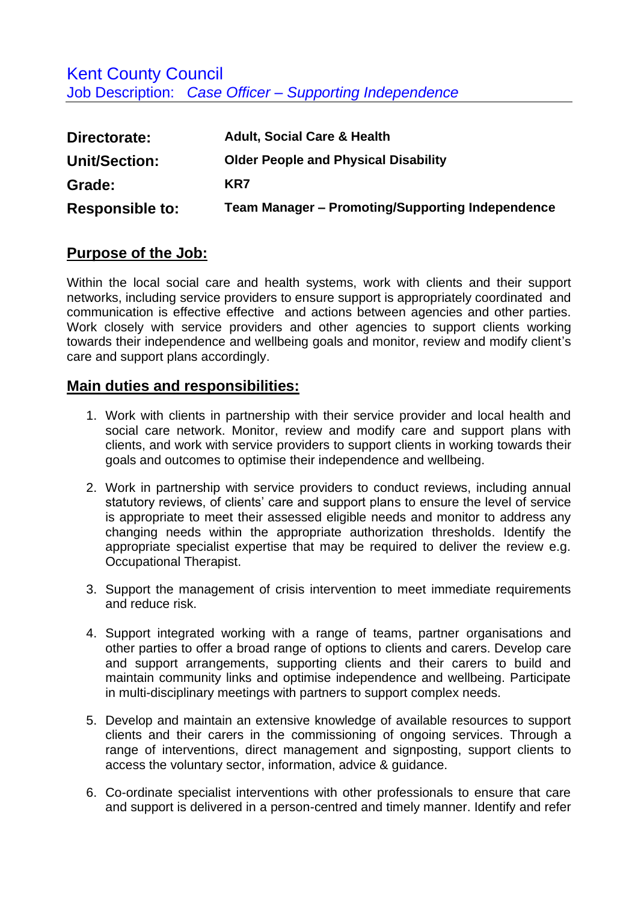Kent County Council Job Description: *Case Officer – Supporting Independence*

| Directorate:           | <b>Adult, Social Care &amp; Health</b>                  |
|------------------------|---------------------------------------------------------|
| <b>Unit/Section:</b>   | <b>Older People and Physical Disability</b>             |
| Grade:                 | KR7                                                     |
| <b>Responsible to:</b> | <b>Team Manager - Promoting/Supporting Independence</b> |

## **Purpose of the Job:**

Within the local social care and health systems, work with clients and their support networks, including service providers to ensure support is appropriately coordinated and communication is effective effective and actions between agencies and other parties. Work closely with service providers and other agencies to support clients working towards their independence and wellbeing goals and monitor, review and modify client's care and support plans accordingly.

## **Main duties and responsibilities:**

- 1. Work with clients in partnership with their service provider and local health and social care network. Monitor, review and modify care and support plans with clients, and work with service providers to support clients in working towards their goals and outcomes to optimise their independence and wellbeing.
- 2. Work in partnership with service providers to conduct reviews, including annual statutory reviews, of clients' care and support plans to ensure the level of service is appropriate to meet their assessed eligible needs and monitor to address any changing needs within the appropriate authorization thresholds. Identify the appropriate specialist expertise that may be required to deliver the review e.g. Occupational Therapist.
- 3. Support the management of crisis intervention to meet immediate requirements and reduce risk.
- 4. Support integrated working with a range of teams, partner organisations and other parties to offer a broad range of options to clients and carers. Develop care and support arrangements, supporting clients and their carers to build and maintain community links and optimise independence and wellbeing. Participate in multi-disciplinary meetings with partners to support complex needs.
- 5. Develop and maintain an extensive knowledge of available resources to support clients and their carers in the commissioning of ongoing services. Through a range of interventions, direct management and signposting, support clients to access the voluntary sector, information, advice & guidance.
- 6. Co-ordinate specialist interventions with other professionals to ensure that care and support is delivered in a person-centred and timely manner. Identify and refer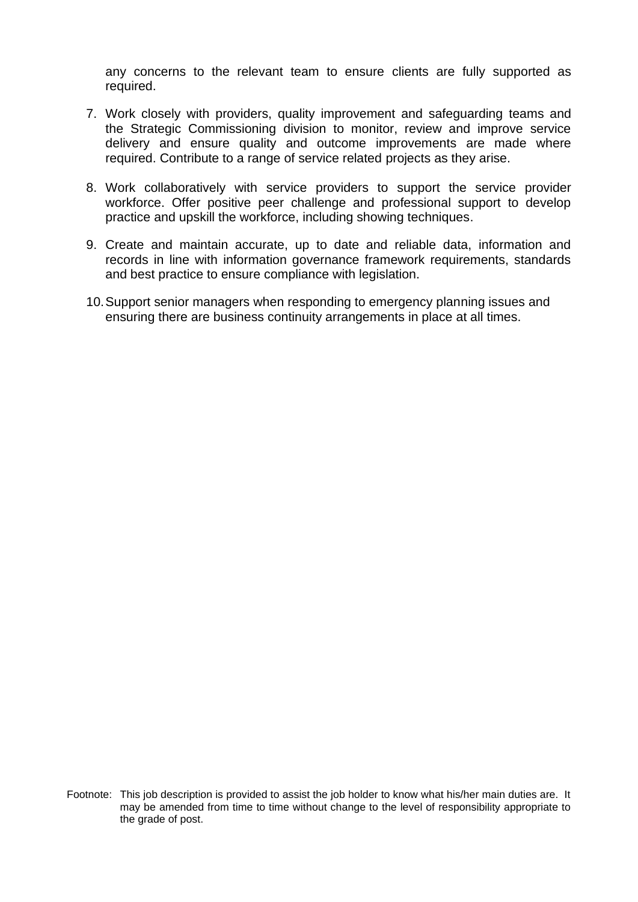any concerns to the relevant team to ensure clients are fully supported as required.

- 7. Work closely with providers, quality improvement and safeguarding teams and the Strategic Commissioning division to monitor, review and improve service delivery and ensure quality and outcome improvements are made where required. Contribute to a range of service related projects as they arise.
- 8. Work collaboratively with service providers to support the service provider workforce. Offer positive peer challenge and professional support to develop practice and upskill the workforce, including showing techniques.
- 9. Create and maintain accurate, up to date and reliable data, information and records in line with information governance framework requirements, standards and best practice to ensure compliance with legislation.
- 10.Support senior managers when responding to emergency planning issues and ensuring there are business continuity arrangements in place at all times.

Footnote: This job description is provided to assist the job holder to know what his/her main duties are. It may be amended from time to time without change to the level of responsibility appropriate to the grade of post.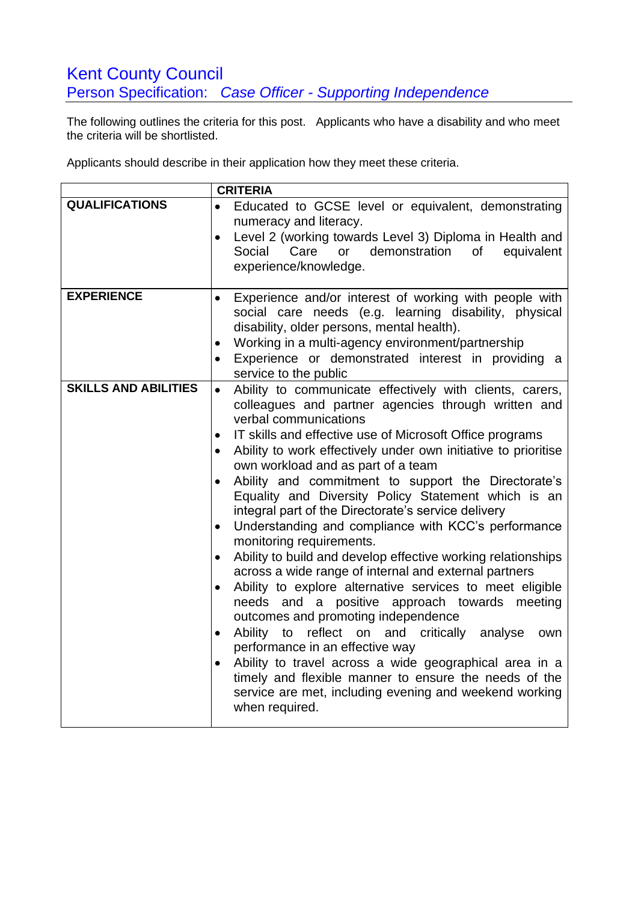## Kent County Council Person Specification: *Case Officer - Supporting Independence*

The following outlines the criteria for this post. Applicants who have a disability and who meet the criteria will be shortlisted.

Applicants should describe in their application how they meet these criteria.

|                             | <b>CRITERIA</b>                                                                              |
|-----------------------------|----------------------------------------------------------------------------------------------|
| <b>QUALIFICATIONS</b>       | Educated to GCSE level or equivalent, demonstrating                                          |
|                             | numeracy and literacy.                                                                       |
|                             | Level 2 (working towards Level 3) Diploma in Health and<br>$\bullet$                         |
|                             | demonstration<br>of<br>Social<br>Care<br>or<br>equivalent                                    |
|                             | experience/knowledge.                                                                        |
|                             |                                                                                              |
| <b>EXPERIENCE</b>           | Experience and/or interest of working with people with                                       |
|                             | social care needs (e.g. learning disability, physical                                        |
|                             | disability, older persons, mental health).                                                   |
|                             | Working in a multi-agency environment/partnership<br>$\bullet$                               |
|                             | Experience or demonstrated interest in providing a                                           |
|                             | service to the public                                                                        |
| <b>SKILLS AND ABILITIES</b> | Ability to communicate effectively with clients, carers,<br>$\bullet$                        |
|                             | colleagues and partner agencies through written and                                          |
|                             | verbal communications                                                                        |
|                             | IT skills and effective use of Microsoft Office programs<br>$\bullet$                        |
|                             | Ability to work effectively under own initiative to prioritise                               |
|                             | own workload and as part of a team                                                           |
|                             | Ability and commitment to support the Directorate's                                          |
|                             | Equality and Diversity Policy Statement which is an                                          |
|                             | integral part of the Directorate's service delivery                                          |
|                             | Understanding and compliance with KCC's performance<br>$\bullet$<br>monitoring requirements. |
|                             | Ability to build and develop effective working relationships<br>$\bullet$                    |
|                             | across a wide range of internal and external partners                                        |
|                             | Ability to explore alternative services to meet eligible                                     |
|                             | needs and a positive approach towards meeting                                                |
|                             | outcomes and promoting independence                                                          |
|                             | reflect on and critically analyse<br>Ability<br>to<br>own<br>$\bullet$                       |
|                             | performance in an effective way                                                              |
|                             | Ability to travel across a wide geographical area in a<br>$\bullet$                          |
|                             | timely and flexible manner to ensure the needs of the                                        |
|                             | service are met, including evening and weekend working                                       |
|                             | when required.                                                                               |
|                             |                                                                                              |